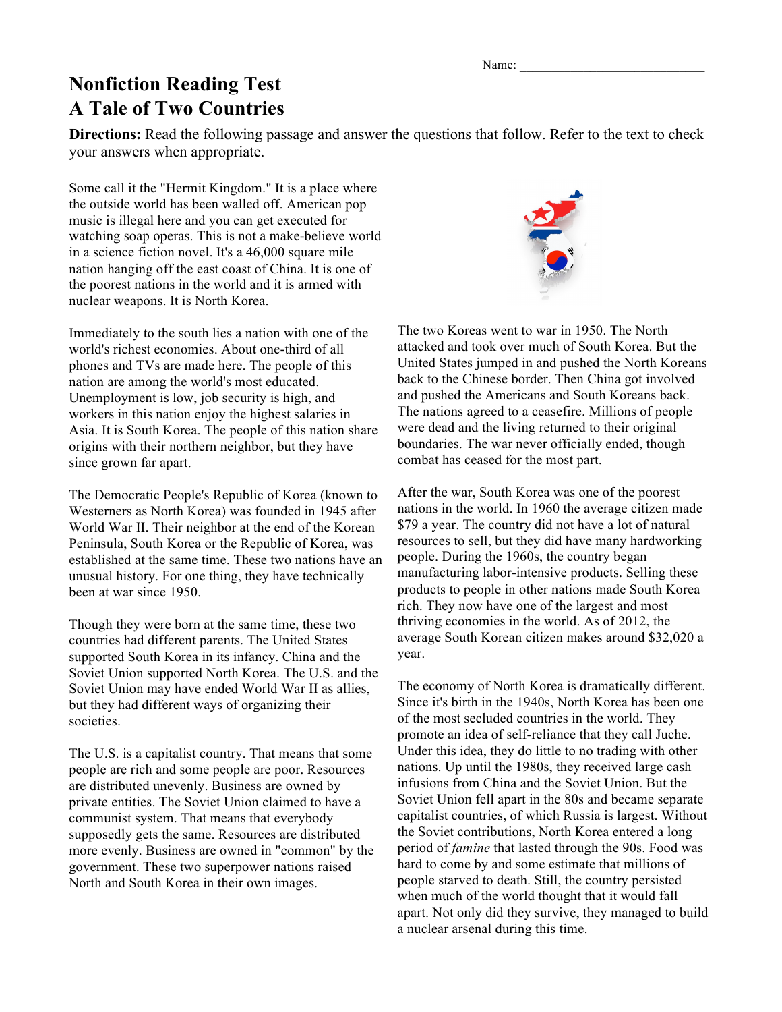Name:

## **Nonfiction Reading Test A Tale of Two Countries**

**Directions:** Read the following passage and answer the questions that follow. Refer to the text to check your answers when appropriate.

Some call it the "Hermit Kingdom." It is a place where the outside world has been walled off. American pop music is illegal here and you can get executed for watching soap operas. This is not a make-believe world in a science fiction novel. It's a 46,000 square mile nation hanging off the east coast of China. It is one of the poorest nations in the world and it is armed with nuclear weapons. It is North Korea.

Immediately to the south lies a nation with one of the world's richest economies. About one-third of all phones and TVs are made here. The people of this nation are among the world's most educated. Unemployment is low, job security is high, and workers in this nation enjoy the highest salaries in Asia. It is South Korea. The people of this nation share origins with their northern neighbor, but they have since grown far apart.

The Democratic People's Republic of Korea (known to Westerners as North Korea) was founded in 1945 after World War II. Their neighbor at the end of the Korean Peninsula, South Korea or the Republic of Korea, was established at the same time. These two nations have an unusual history. For one thing, they have technically been at war since 1950.

Though they were born at the same time, these two countries had different parents. The United States supported South Korea in its infancy. China and the Soviet Union supported North Korea. The U.S. and the Soviet Union may have ended World War II as allies, but they had different ways of organizing their societies.

The U.S. is a capitalist country. That means that some people are rich and some people are poor. Resources are distributed unevenly. Business are owned by private entities. The Soviet Union claimed to have a communist system. That means that everybody supposedly gets the same. Resources are distributed more evenly. Business are owned in "common" by the government. These two superpower nations raised North and South Korea in their own images.



The two Koreas went to war in 1950. The North attacked and took over much of South Korea. But the United States jumped in and pushed the North Koreans back to the Chinese border. Then China got involved and pushed the Americans and South Koreans back. The nations agreed to a ceasefire. Millions of people were dead and the living returned to their original boundaries. The war never officially ended, though combat has ceased for the most part.

After the war, South Korea was one of the poorest nations in the world. In 1960 the average citizen made \$79 a year. The country did not have a lot of natural resources to sell, but they did have many hardworking people. During the 1960s, the country began manufacturing labor-intensive products. Selling these products to people in other nations made South Korea rich. They now have one of the largest and most thriving economies in the world. As of 2012, the average South Korean citizen makes around \$32,020 a year.

The economy of North Korea is dramatically different. Since it's birth in the 1940s, North Korea has been one of the most secluded countries in the world. They promote an idea of self-reliance that they call Juche. Under this idea, they do little to no trading with other nations. Up until the 1980s, they received large cash infusions from China and the Soviet Union. But the Soviet Union fell apart in the 80s and became separate capitalist countries, of which Russia is largest. Without the Soviet contributions, North Korea entered a long period of *famine* that lasted through the 90s. Food was hard to come by and some estimate that millions of people starved to death. Still, the country persisted when much of the world thought that it would fall apart. Not only did they survive, they managed to build a nuclear arsenal during this time.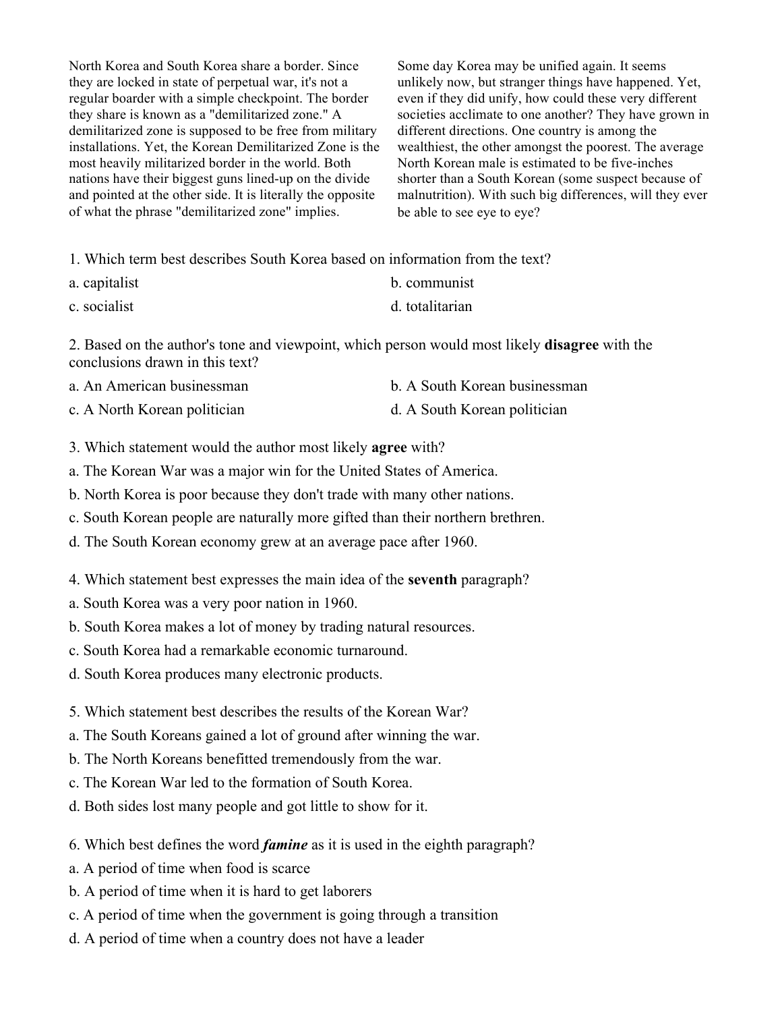North Korea and South Korea share a border. Since they are locked in state of perpetual war, it's not a regular boarder with a simple checkpoint. The border they share is known as a "demilitarized zone." A demilitarized zone is supposed to be free from military installations. Yet, the Korean Demilitarized Zone is the most heavily militarized border in the world. Both nations have their biggest guns lined-up on the divide and pointed at the other side. It is literally the opposite of what the phrase "demilitarized zone" implies.

Some day Korea may be unified again. It seems unlikely now, but stranger things have happened. Yet, even if they did unify, how could these very different societies acclimate to one another? They have grown in different directions. One country is among the wealthiest, the other amongst the poorest. The average North Korean male is estimated to be five-inches shorter than a South Korean (some suspect because of malnutrition). With such big differences, will they ever be able to see eye to eye?

1. Which term best describes South Korea based on information from the text?

| a. capitalist | b. communist |
|---------------|--------------|
|---------------|--------------|

c. socialist d. totalitarian

2. Based on the author's tone and viewpoint, which person would most likely **disagree** with the conclusions drawn in this text?

| a. An American businessman   | b. A South Korean businessman |
|------------------------------|-------------------------------|
| c. A North Korean politician | d. A South Korean politician  |

3. Which statement would the author most likely **agree** with?

a. The Korean War was a major win for the United States of America.

b. North Korea is poor because they don't trade with many other nations.

c. South Korean people are naturally more gifted than their northern brethren.

d. The South Korean economy grew at an average pace after 1960.

4. Which statement best expresses the main idea of the **seventh** paragraph?

a. South Korea was a very poor nation in 1960.

b. South Korea makes a lot of money by trading natural resources.

c. South Korea had a remarkable economic turnaround.

d. South Korea produces many electronic products.

5. Which statement best describes the results of the Korean War?

a. The South Koreans gained a lot of ground after winning the war.

b. The North Koreans benefitted tremendously from the war.

c. The Korean War led to the formation of South Korea.

d. Both sides lost many people and got little to show for it.

6. Which best defines the word *famine* as it is used in the eighth paragraph?

a. A period of time when food is scarce

b. A period of time when it is hard to get laborers

c. A period of time when the government is going through a transition

d. A period of time when a country does not have a leader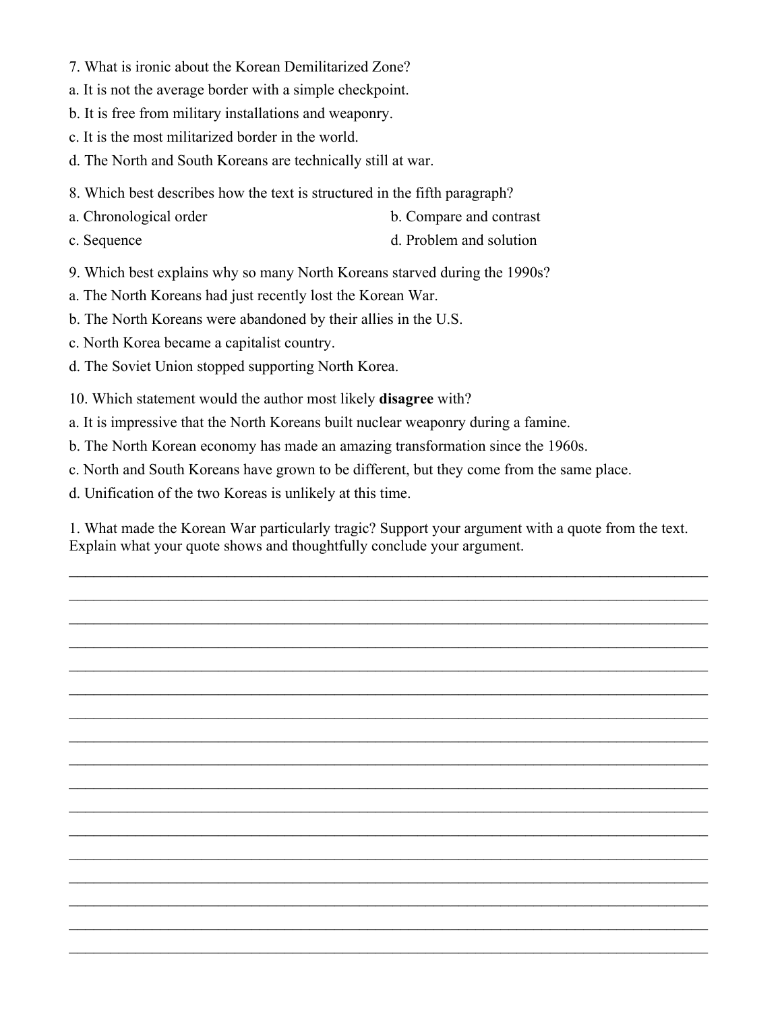- 7. What is ironic about the Korean Demilitarized Zone?
- a. It is not the average border with a simple checkpoint.
- b. It is free from military installations and weaponry.
- c. It is the most militarized border in the world.
- d. The North and South Koreans are technically still at war.
- 8. Which best describes how the text is structured in the fifth paragraph?
- a. Chronological order b. Compare and contrast
- c. Sequence d. Problem and solution
	-
- 9. Which best explains why so many North Koreans starved during the 1990s?
- a. The North Koreans had just recently lost the Korean War.
- b. The North Koreans were abandoned by their allies in the U.S.
- c. North Korea became a capitalist country.
- d. The Soviet Union stopped supporting North Korea.
- 10. Which statement would the author most likely **disagree** with?
- a. It is impressive that the North Koreans built nuclear weaponry during a famine.
- b. The North Korean economy has made an amazing transformation since the 1960s.
- c. North and South Koreans have grown to be different, but they come from the same place.
- d. Unification of the two Koreas is unlikely at this time.

1. What made the Korean War particularly tragic? Support your argument with a quote from the text. Explain what your quote shows and thoughtfully conclude your argument.

 $\mathcal{L}_\text{max} = \mathcal{L}_\text{max} = \mathcal{L}_\text{max} = \mathcal{L}_\text{max} = \mathcal{L}_\text{max} = \mathcal{L}_\text{max} = \mathcal{L}_\text{max} = \mathcal{L}_\text{max} = \mathcal{L}_\text{max} = \mathcal{L}_\text{max} = \mathcal{L}_\text{max} = \mathcal{L}_\text{max} = \mathcal{L}_\text{max} = \mathcal{L}_\text{max} = \mathcal{L}_\text{max} = \mathcal{L}_\text{max} = \mathcal{L}_\text{max} = \mathcal{L}_\text{max} = \mathcal{$ 

 $\mathcal{L}_\text{max}$  and  $\mathcal{L}_\text{max}$  and  $\mathcal{L}_\text{max}$  and  $\mathcal{L}_\text{max}$  and  $\mathcal{L}_\text{max}$  and  $\mathcal{L}_\text{max}$ 

 $\mathcal{L}_\text{max}$  and  $\mathcal{L}_\text{max}$  and  $\mathcal{L}_\text{max}$  and  $\mathcal{L}_\text{max}$  and  $\mathcal{L}_\text{max}$  and  $\mathcal{L}_\text{max}$ 

 $\mathcal{L}_\text{max} = \mathcal{L}_\text{max} = \mathcal{L}_\text{max} = \mathcal{L}_\text{max} = \mathcal{L}_\text{max} = \mathcal{L}_\text{max} = \mathcal{L}_\text{max} = \mathcal{L}_\text{max} = \mathcal{L}_\text{max} = \mathcal{L}_\text{max} = \mathcal{L}_\text{max} = \mathcal{L}_\text{max} = \mathcal{L}_\text{max} = \mathcal{L}_\text{max} = \mathcal{L}_\text{max} = \mathcal{L}_\text{max} = \mathcal{L}_\text{max} = \mathcal{L}_\text{max} = \mathcal{$ 

 $\mathcal{L}_\text{max} = \mathcal{L}_\text{max} = \mathcal{L}_\text{max} = \mathcal{L}_\text{max} = \mathcal{L}_\text{max} = \mathcal{L}_\text{max} = \mathcal{L}_\text{max} = \mathcal{L}_\text{max} = \mathcal{L}_\text{max} = \mathcal{L}_\text{max} = \mathcal{L}_\text{max} = \mathcal{L}_\text{max} = \mathcal{L}_\text{max} = \mathcal{L}_\text{max} = \mathcal{L}_\text{max} = \mathcal{L}_\text{max} = \mathcal{L}_\text{max} = \mathcal{L}_\text{max} = \mathcal{$ 

 $\mathcal{L}_\text{max} = \mathcal{L}_\text{max} = \mathcal{L}_\text{max} = \mathcal{L}_\text{max} = \mathcal{L}_\text{max} = \mathcal{L}_\text{max} = \mathcal{L}_\text{max} = \mathcal{L}_\text{max} = \mathcal{L}_\text{max} = \mathcal{L}_\text{max} = \mathcal{L}_\text{max} = \mathcal{L}_\text{max} = \mathcal{L}_\text{max} = \mathcal{L}_\text{max} = \mathcal{L}_\text{max} = \mathcal{L}_\text{max} = \mathcal{L}_\text{max} = \mathcal{L}_\text{max} = \mathcal{$ 

 $\mathcal{L}_\text{max} = \mathcal{L}_\text{max} = \mathcal{L}_\text{max} = \mathcal{L}_\text{max} = \mathcal{L}_\text{max} = \mathcal{L}_\text{max} = \mathcal{L}_\text{max} = \mathcal{L}_\text{max} = \mathcal{L}_\text{max} = \mathcal{L}_\text{max} = \mathcal{L}_\text{max} = \mathcal{L}_\text{max} = \mathcal{L}_\text{max} = \mathcal{L}_\text{max} = \mathcal{L}_\text{max} = \mathcal{L}_\text{max} = \mathcal{L}_\text{max} = \mathcal{L}_\text{max} = \mathcal{$